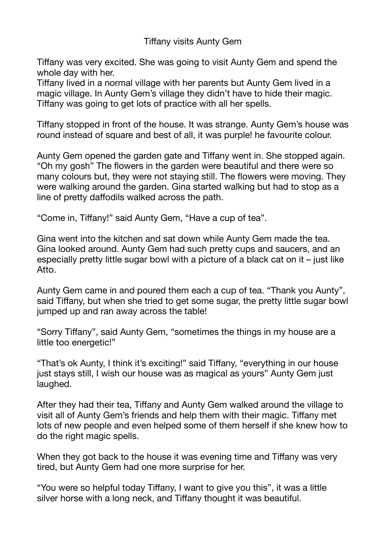## Tiffany visits Aunty Gem

Tiffany was very excited. She was going to visit Aunty Gem and spend the whole day with her.

Tiffany lived in a normal village with her parents but Aunty Gem lived in a magic village. In Aunty Gem's village they didn't have to hide their magic. Tiffany was going to get lots of practice with all her spells.

Tiffany stopped in front of the house. It was strange. Aunty Gem's house was round instead of square and best of all, it was purple! he favourite colour.

Aunty Gem opened the garden gate and Tiffany went in. She stopped again. "Oh my gosh" The flowers in the garden were beautiful and there were so many colours but, they were not staying still. The flowers were moving. They were walking around the garden. Gina started walking but had to stop as a line of pretty daffodils walked across the path.

"Come in, Tiffany!" said Aunty Gem, "Have a cup of tea".

Gina went into the kitchen and sat down while Aunty Gem made the tea. Gina looked around. Aunty Gem had such pretty cups and saucers, and an especially pretty little sugar bowl with a picture of a black cat on it – just like Atto.

Aunty Gem came in and poured them each a cup of tea. "Thank you Aunty", said Tiffany, but when she tried to get some sugar, the pretty little sugar bowl jumped up and ran away across the table!

"Sorry Tiffany", said Aunty Gem, "sometimes the things in my house are a little too energetic!"

"That's ok Aunty, I think it's exciting!" said Tiffany, "everything in our house just stays still, I wish our house was as magical as yours" Aunty Gem just laughed.

After they had their tea, Tiffany and Aunty Gem walked around the village to visit all of Aunty Gem's friends and help them with their magic. Tiffany met lots of new people and even helped some of them herself if she knew how to do the right magic spells.

When they got back to the house it was evening time and Tiffany was very tired, but Aunty Gem had one more surprise for her.

"You were so helpful today Tiffany, I want to give you this", it was a little silver horse with a long neck, and Tiffany thought it was beautiful.